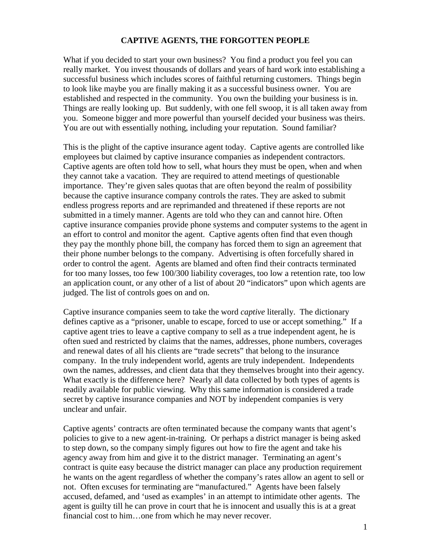## **CAPTIVE AGENTS, THE FORGOTTEN PEOPLE**

What if you decided to start your own business? You find a product you feel you can really market. You invest thousands of dollars and years of hard work into establishing a successful business which includes scores of faithful returning customers. Things begin to look like maybe you are finally making it as a successful business owner. You are established and respected in the community. You own the building your business is in. Things are really looking up. But suddenly, with one fell swoop, it is all taken away from you. Someone bigger and more powerful than yourself decided your business was theirs. You are out with essentially nothing, including your reputation. Sound familiar?

This is the plight of the captive insurance agent today. Captive agents are controlled like employees but claimed by captive insurance companies as independent contractors. Captive agents are often told how to sell, what hours they must be open, when and when they cannot take a vacation. They are required to attend meetings of questionable importance. They're given sales quotas that are often beyond the realm of possibility because the captive insurance company controls the rates. They are asked to submit endless progress reports and are reprimanded and threatened if these reports are not submitted in a timely manner. Agents are told who they can and cannot hire. Often captive insurance companies provide phone systems and computer systems to the agent in an effort to control and monitor the agent. Captive agents often find that even though they pay the monthly phone bill, the company has forced them to sign an agreement that their phone number belongs to the company. Advertising is often forcefully shared in order to control the agent. Agents are blamed and often find their contracts terminated for too many losses, too few 100/300 liability coverages, too low a retention rate, too low an application count, or any other of a list of about 20 "indicators" upon which agents are judged. The list of controls goes on and on.

Captive insurance companies seem to take the word *captive* literally. The dictionary defines captive as a "prisoner, unable to escape, forced to use or accept something." If a captive agent tries to leave a captive company to sell as a true independent agent, he is often sued and restricted by claims that the names, addresses, phone numbers, coverages and renewal dates of all his clients are "trade secrets" that belong to the insurance company. In the truly independent world, agents are truly independent. Independents own the names, addresses, and client data that they themselves brought into their agency. What exactly is the difference here? Nearly all data collected by both types of agents is readily available for public viewing. Why this same information is considered a trade secret by captive insurance companies and NOT by independent companies is very unclear and unfair.

Captive agents' contracts are often terminated because the company wants that agent's policies to give to a new agent-in-training. Or perhaps a district manager is being asked to step down, so the company simply figures out how to fire the agent and take his agency away from him and give it to the district manager. Terminating an agent's contract is quite easy because the district manager can place any production requirement he wants on the agent regardless of whether the company's rates allow an agent to sell or not. Often excuses for terminating are "manufactured." Agents have been falsely accused, defamed, and 'used as examples' in an attempt to intimidate other agents. The agent is guilty till he can prove in court that he is innocent and usually this is at a great financial cost to him...one from which he may never recover.